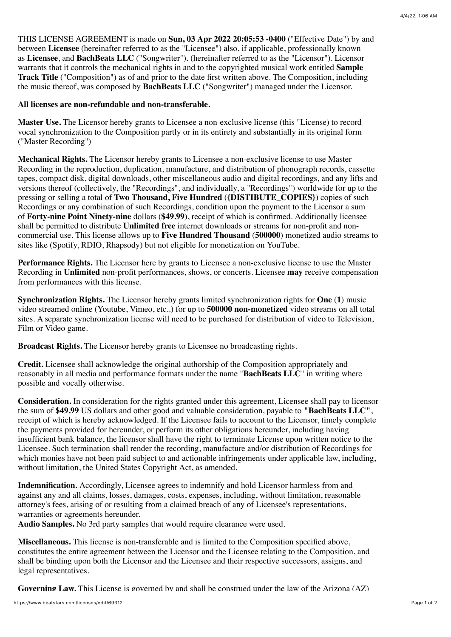THIS LICENSE AGREEMENT is made on **Sun, 03 Apr 2022 20:05:53 -0400** ("Effective Date") by and between **Licensee** (hereinafter referred to as the "Licensee") also, if applicable, professionally known as **Licensee**, and **BachBeats LLC** ("Songwriter"). (hereinafter referred to as the "Licensor"). Licensor warrants that it controls the mechanical rights in and to the copyrighted musical work entitled **Sample Track Title** ("Composition") as of and prior to the date first written above. The Composition, including the music thereof, was composed by **BachBeats LLC** ("Songwriter") managed under the Licensor.

## **All licenses are non-refundable and non-transferable.**

**Master Use.** The Licensor hereby grants to Licensee a non-exclusive license (this "License) to record vocal synchronization to the Composition partly or in its entirety and substantially in its original form ("Master Recording")

**Mechanical Rights.** The Licensor hereby grants to Licensee a non-exclusive license to use Master Recording in the reproduction, duplication, manufacture, and distribution of phonograph records, cassette tapes, compact disk, digital downloads, other miscellaneous audio and digital recordings, and any lifts and versions thereof (collectively, the "Recordings", and individually, a "Recordings") worldwide for up to the pressing or selling a total of **Two Thousand, Five Hundred** (**{DISTIBUTE\_COPIES}**) copies of such Recordings or any combination of such Recordings, condition upon the payment to the Licensor a sum of **Forty-nine Point Ninety-nine** dollars (**\$49.99**), receipt of which is confirmed. Additionally licensee shall be permitted to distribute **Unlimited free** internet downloads or streams for non-profit and noncommercial use. This license allows up to **Five Hundred Thousand** (**500000**) monetized audio streams to sites like (Spotify, RDIO, Rhapsody) but not eligible for monetization on YouTube.

**Performance Rights.** The Licensor here by grants to Licensee a non-exclusive license to use the Master Recording in **Unlimited** non-profit performances, shows, or concerts. Licensee **may** receive compensation from performances with this license.

**Synchronization Rights.** The Licensor hereby grants limited synchronization rights for **One** (**1**) music video streamed online (Youtube, Vimeo, etc..) for up to **500000 non-monetized** video streams on all total sites. A separate synchronization license will need to be purchased for distribution of video to Television, Film or Video game.

**Broadcast Rights.** The Licensor hereby grants to Licensee no broadcasting rights.

**Credit.** Licensee shall acknowledge the original authorship of the Composition appropriately and reasonably in all media and performance formats under the name "**BachBeats LLC**" in writing where possible and vocally otherwise.

**Consideration.** In consideration for the rights granted under this agreement, Licensee shall pay to licensor the sum of **\$49.99** US dollars and other good and valuable consideration, payable to **"BachBeats LLC"**, receipt of which is hereby acknowledged. If the Licensee fails to account to the Licensor, timely complete the payments provided for hereunder, or perform its other obligations hereunder, including having insufficient bank balance, the licensor shall have the right to terminate License upon written notice to the Licensee. Such termination shall render the recording, manufacture and/or distribution of Recordings for which monies have not been paid subject to and actionable infringements under applicable law, including, without limitation, the United States Copyright Act, as amended.

**Indemnification.** Accordingly, Licensee agrees to indemnify and hold Licensor harmless from and against any and all claims, losses, damages, costs, expenses, including, without limitation, reasonable attorney's fees, arising of or resulting from a claimed breach of any of Licensee's representations, warranties or agreements hereunder.

**Audio Samples.** No 3rd party samples that would require clearance were used.

**Miscellaneous.** This license is non-transferable and is limited to the Composition specified above, constitutes the entire agreement between the Licensor and the Licensee relating to the Composition, and shall be binding upon both the Licensor and the Licensee and their respective successors, assigns, and legal representatives.

**Governing Law.** This License is governed by and shall be construed under the law of the Arizona (AZ)